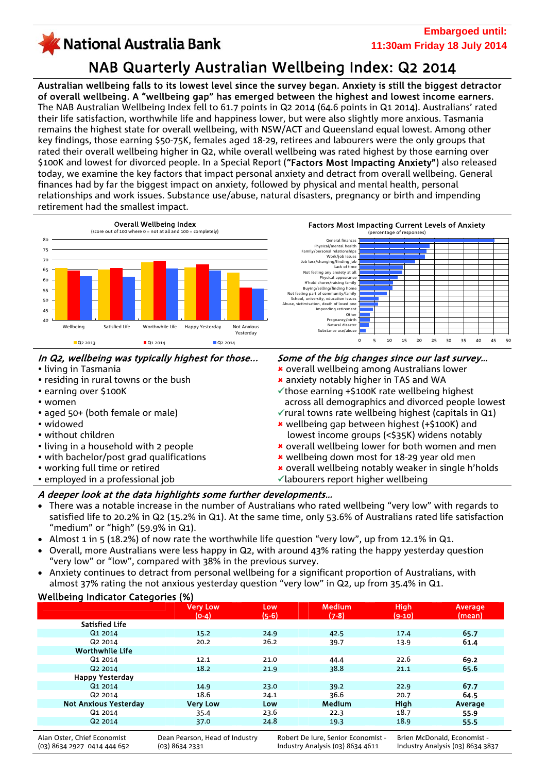### **Embargoed until:** KNational Australia Bank **11:30am Friday 18 July 2014** NAB Quarterly Australian Wellbeing Index: Q2 2014

Australian wellbeing falls to its lowest level since the survey began. Anxiety is still the biggest detractor of overall wellbeing. A "wellbeing gap" has emerged between the highest and lowest income earners. The NAB Australian Wellbeing Index fell to 61.7 points in Q2 2014 (64.6 points in Q1 2014). Australians' rated their life satisfaction, worthwhile life and happiness lower, but were also slightly more anxious. Tasmania remains the highest state for overall wellbeing, with NSW/ACT and Queensland equal lowest. Among other key findings, those earning \$50-75K, females aged 18-29, retirees and labourers were the only groups that rated their overall wellbeing higher in Q2, while overall wellbeing was rated highest by those earning over \$100K and lowest for divorced people. In a Special Report ("Factors Most Impacting Anxiety") also released today, we examine the key factors that impact personal anxiety and detract from overall wellbeing. General finances had by far the biggest impact on anxiety, followed by physical and mental health, personal relationships and work issues. Substance use/abuse, natural disasters, pregnancy or birth and impending retirement had the smallest impact.



# In Q2, wellbeing was typically highest for those...

- living in Tasmania
- residing in rural towns or the bush
- y earning over \$100K
- women
- aged 50+ (both female or male)
- widowed
- without children
- living in a household with 2 people
- with bachelor/post grad qualifications
- working full time or retired
- employed in a professional job

### Some of the big changes since our last survey…

- 8 overall wellbeing among Australians lower
- 8 anxiety notably higher in TAS and WA
- $\checkmark$  those earning +\$100K rate wellbeing highest across all demographics and divorced people lowest
- $\checkmark$  rural towns rate wellbeing highest (capitals in Q1) 8 wellbeing gap between highest (+\$100K) and
- lowest income groups (<\$35K) widens notably
- \* overall wellbeing lower for both women and men
- \* wellbeing down most for 18-29 year old men
- **\*** overall wellbeing notably weaker in single h'holds
- $\checkmark$ labourers report higher wellbeing

### A deeper look at the data highlights some further developments…

- There was a notable increase in the number of Australians who rated wellbeing "very low" with regards to satisfied life to 20.2% in Q2 (15.2% in Q1). At the same time, only 53.6% of Australians rated life satisfaction "medium" or "high" (59.9% in Q1).
- Almost 1 in 5 (18.2%) of now rate the worthwhile life question "very low", up from 12.1% in Q1.
- Overall, more Australians were less happy in Q2, with around 43% rating the happy yesterday question "very low" or "low", compared with 38% in the previous survey.
- Anxiety continues to detract from personal wellbeing for a significant proportion of Australians, with almost 37% rating the not anxious yesterday question "very low" in Q2, up from 35.4% in Q1.

# Wellbeing Indicator Categories (%)

|                              | <b>Very Low</b><br>$(O-4)$     | Low<br>$(5-6)$ | <b>Medium</b><br>$(7-8)$           | <b>High</b><br>$(9-10)$ | Average<br>(mean)           |
|------------------------------|--------------------------------|----------------|------------------------------------|-------------------------|-----------------------------|
| <b>Satisfied Life</b>        |                                |                |                                    |                         |                             |
| Q1 2014                      | 15.2                           | 24.9           | 42.5                               | 17.4                    | 65.7                        |
| Q <sub>2</sub> 2014          | 20.2                           | 26.2           | 39.7                               | 13.9                    | 61.4                        |
| <b>Worthwhile Life</b>       |                                |                |                                    |                         |                             |
| Q1 2014                      | 12.1                           | 21.0           | 44.4                               | 22.6                    | 69.2                        |
| Q <sub>2</sub> 2014          | 18.2                           | 21.9           | 38.8                               | 21.1                    | 65.6                        |
| <b>Happy Yesterday</b>       |                                |                |                                    |                         |                             |
| Q1 2014                      | 14.9                           | 23.0           | 39.2                               | 22.9                    | 67.7                        |
| Q <sub>2</sub> 2014          | 18.6                           | 24.1           | 36.6                               | 20.7                    | 64.5                        |
| <b>Not Anxious Yesterday</b> | <b>Very Low</b>                | Low            | <b>Medium</b>                      | <b>High</b>             | Average                     |
| Q1 2014                      | 35.4                           | 23.6           | 22.3                               | 18.7                    | 55.9                        |
| Q <sub>2</sub> 2014          | 37.0                           | 24.8           | 19.3                               | 18.9                    | 55.5                        |
| Alan Oster, Chief Economist  | Dean Pearson, Head of Industry |                | Robert De Iure, Senior Economist - |                         | Brien McDonald, Economist - |

(03) 8634 2927 0414 444 652

Dean Pearson, Head of Industry (03) 8634 2331

Robert De Iure, Senior Economist - Industry Analysis (03) 8634 4611

Brien McDonald, Economist - Industry Analysis (03) 8634 3837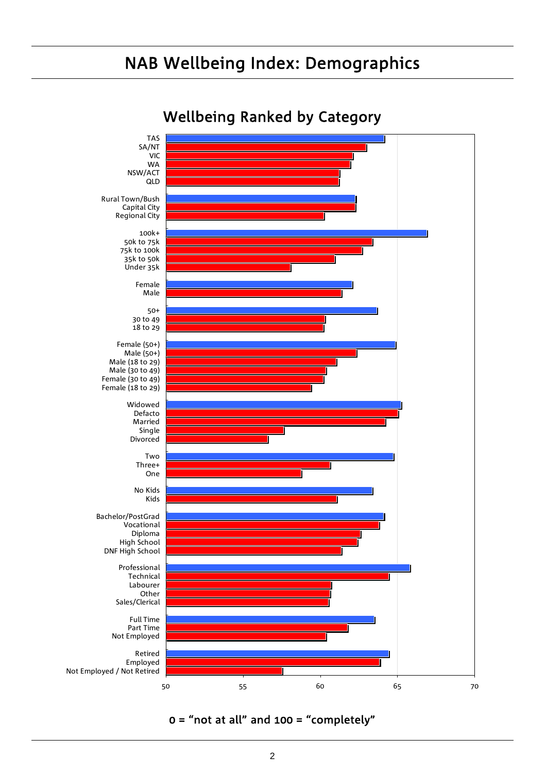# NAB Wellbeing Index: Demographics



Wellbeing Ranked by Category

## $0 =$  "not at all" and 100 = "completely"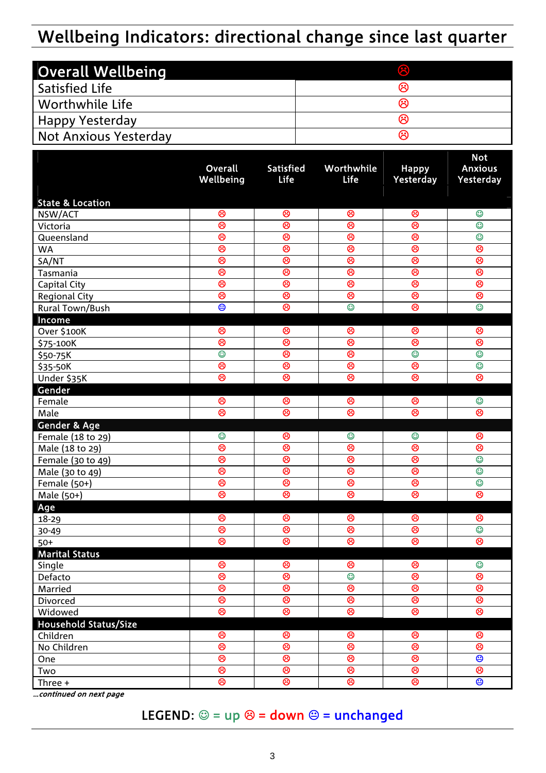# Wellbeing Indicators: directional change since last quarter

| <b>Overall Wellbeing</b> | $\circledR$ |
|--------------------------|-------------|
| <b>Satisfied Life</b>    | ભ           |
| l Worthwhile Life        | ⇔           |
| Happy Yesterday          | ભ           |
| Not Anxious Yesterday    | ભ           |

|                             | Overall                      | Satisfied        | Worthwhile       | <b>Happy</b>     | <b>Not</b><br><b>Anxious</b> |
|-----------------------------|------------------------------|------------------|------------------|------------------|------------------------------|
|                             | Wellbeing                    | Life             | <b>Life</b>      | Yesterday        | Yesterday                    |
| <b>State &amp; Location</b> |                              |                  |                  |                  |                              |
| NSW/ACT                     | ම                            | ම                | ම                | ම                | $\odot$                      |
| Victoria                    | ම                            | ම                | ම                | ම                | $\odot$                      |
| Queensland                  | ම                            | ම                | ම                | ම                | $\odot$                      |
| <b>WA</b>                   | ම                            | ම                | ම                | ම                | ම                            |
| SA/NT                       | ම                            | ඔ                | ම                | ම                | ම                            |
| Tasmania                    | ඔ                            | ඔ                | ඔ                | ම                | ම                            |
| Capital City                | ඔ                            | ම                | ඔ                | ම                | ම                            |
| <b>Regional City</b>        | ම                            | ම                | ම                | ම                | ම                            |
| Rural Town/Bush             | ම                            | ඔ                | $\circledcirc$   | ම                | $\odot$                      |
| Income                      |                              |                  |                  |                  |                              |
| Over \$100K                 | ම                            | ම                | ම                | ම                | ම                            |
| \$75-100K                   | ම                            | ම                | ම                | ම                | ම                            |
| \$50-75K                    | $\overline{\mathbb{O}}$      | ඔ                | ඔ                | $\circledcirc$   | $\odot$                      |
| \$35-50K                    | ම                            | ඔ                | ම                | ම                | $\odot$                      |
| Under \$35K                 | ඔ                            | ම                | ම                | ම                | ම                            |
| Gender                      |                              |                  |                  |                  |                              |
| Female                      | ම                            | ම                | ම                | ම                | $\odot$                      |
| Male                        | ම                            | ම                | ම                | ම                | ම                            |
| <b>Gender &amp; Age</b>     |                              |                  |                  |                  |                              |
| Female (18 to 29)           | $\odot$                      | ම                | $\odot$          | $\odot$          | ම                            |
| Male (18 to 29)             | ම                            | ඔ                | ම                | ම                | ම                            |
| Female (30 to 49)           | ම                            | ඔ                | ඔ                | ම                | $\odot$                      |
| Male (30 to 49)             | ම                            | ඔ                | ඔ                | ම                | $\odot$                      |
| Female (50+)                | ම                            | ම                | ම                | ම                | $\odot$                      |
| Male (50+)                  | ම                            | ම                | ම                | ම                | ම                            |
| Age                         |                              |                  |                  |                  |                              |
| 18-29                       | ම                            | ම                | ම                | ම                | ම                            |
| 30-49                       | ම                            | ම                | ම                | ම                | $\circledcirc$               |
| $50+$                       | ම                            | ම                | ම                | ම                | ම                            |
| <b>Marital Status</b>       |                              |                  |                  |                  |                              |
| Single                      | ဗ                            | ဗ                | ဗ                | ဗ                | ಲ                            |
| Defacto                     | ම                            | ඔ                | $\circledcirc$   | ම                | ම                            |
| Married                     | ම                            | ම                | ම                | ම                | ම                            |
| Divorced                    | ම                            | ම                | ම                | ම                | ම                            |
| Widowed                     | ම                            | ම                | ම                | ම                | ම                            |
| Household Status/Size       |                              |                  |                  |                  |                              |
| Children                    | $\circledS$<br>$\circledast$ | $\circledS$<br>ම | $\circledS$<br>ම | $\circledS$<br>ම | $\circledS$<br>ම             |
| No Children                 | $\circledcirc$               | ම                | ම                | ම                | $\overline{\mathbf{e}}$      |
| One                         | $\circledcirc$               | ම                | ම                | ම                | ම                            |
| Two                         | ම                            | ම                | ම                | ම                | ම                            |
| Three +                     |                              |                  |                  |                  |                              |

…continued on next page

## LEGEND:  $\circledcirc$  = up  $\otimes$  = down  $\circledcirc$  = unchanged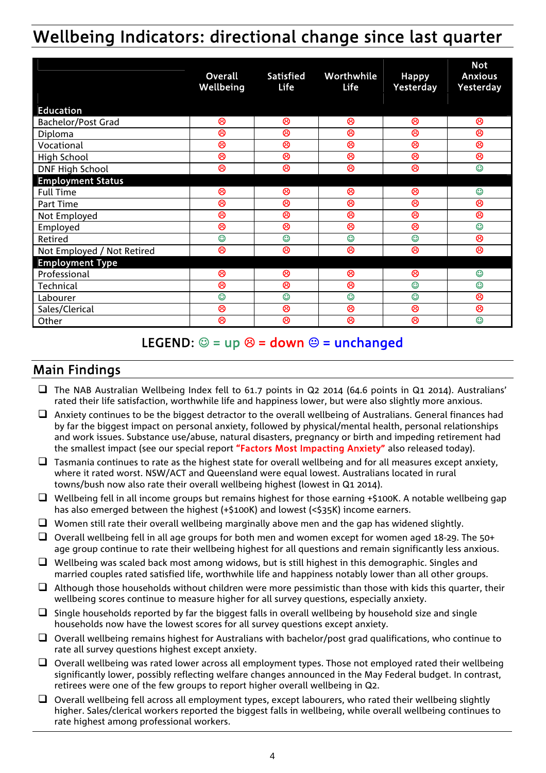# Wellbeing Indicators: directional change since last quarter

|                            | Overall<br>Wellbeing | <b>Satisfied</b><br>Life | Worthwhile<br><b>Life</b> | <b>Happy</b><br>Yesterday | <b>Not</b><br><b>Anxious</b><br>Yesterday |
|----------------------------|----------------------|--------------------------|---------------------------|---------------------------|-------------------------------------------|
| <b>Education</b>           |                      |                          |                           |                           |                                           |
| Bachelor/Post Grad         | ම                    | ම                        | ම                         | ම                         | ම                                         |
| Diploma                    | ම                    | ම                        | ම                         | ම                         | ම                                         |
| Vocational                 | ම                    | ම                        | ම                         | ම                         | ම                                         |
| High School                | ම                    | ම                        | ම                         | ම                         | ම                                         |
| <b>DNF High School</b>     | ම                    | ම                        | ම                         | ම                         | $\odot$                                   |
| <b>Employment Status</b>   |                      |                          |                           |                           |                                           |
| <b>Full Time</b>           | ම                    | ම                        | ම                         | ම                         | $\odot$                                   |
| Part Time                  | ම                    | ම                        | ම                         | ම                         | ම                                         |
| Not Employed               | ම                    | ම                        | ම                         | ම                         | ම                                         |
| Employed                   | ම                    | ම                        | ම                         | ම                         | $\circledcirc$                            |
| Retired                    | $\odot$              | $\odot$                  | $\odot$                   | $\odot$                   | ම                                         |
| Not Employed / Not Retired | ම                    | ම                        | ම                         | ම                         | ම                                         |
| <b>Employment Type</b>     |                      |                          |                           |                           |                                           |
| Professional               | ම                    | ම                        | ම                         | ම                         | ☺                                         |
| Technical                  | ම                    | ම                        | ම                         | $\odot$                   | $\odot$                                   |
| Labourer                   | $\odot$              | $\odot$                  | $\odot$                   | $\odot$                   | ම                                         |
| Sales/Clerical             | ම                    | ම                        | ම                         | ම                         | ම                                         |
| Other                      | ශ                    | ම                        | ශ                         | ඹ                         | $\odot$                                   |

# LEGEND:  $\circledcirc$  = up  $\circledcirc$  = down  $\circledcirc$  = unchanged

# Main Findings

- $\Box$  The NAB Australian Wellbeing Index fell to 61.7 points in Q2 2014 (64.6 points in Q1 2014). Australians' rated their life satisfaction, worthwhile life and happiness lower, but were also slightly more anxious.
- $\Box$  Anxiety continues to be the biggest detractor to the overall wellbeing of Australians. General finances had by far the biggest impact on personal anxiety, followed by physical/mental health, personal relationships and work issues. Substance use/abuse, natural disasters, pregnancy or birth and impeding retirement had the smallest impact (see our special report "Factors Most Impacting Anxiety" also released today).
- $\Box$  Tasmania continues to rate as the highest state for overall wellbeing and for all measures except anxiety, where it rated worst. NSW/ACT and Queensland were equal lowest. Australians located in rural towns/bush now also rate their overall wellbeing highest (lowest in Q1 2014).
- $\Box$  Wellbeing fell in all income groups but remains highest for those earning +\$100K. A notable wellbeing gap has also emerged between the highest (+\$100K) and lowest (<\$35K) income earners.
- $\Box$  Women still rate their overall wellbeing marginally above men and the gap has widened slightly.
- $\Box$  Overall wellbeing fell in all age groups for both men and women except for women aged 18-29. The 50+ age group continue to rate their wellbeing highest for all questions and remain significantly less anxious.
- $\Box$  Wellbeing was scaled back most among widows, but is still highest in this demographic. Singles and married couples rated satisfied life, worthwhile life and happiness notably lower than all other groups.
- $\Box$  Although those households without children were more pessimistic than those with kids this quarter, their wellbeing scores continue to measure higher for all survey questions, especially anxiety.
- $\Box$  Single households reported by far the biggest falls in overall wellbeing by household size and single households now have the lowest scores for all survey questions except anxiety.
- $\Box$  Overall wellbeing remains highest for Australians with bachelor/post grad qualifications, who continue to rate all survey questions highest except anxiety.
- $\Box$  Overall wellbeing was rated lower across all employment types. Those not employed rated their wellbeing significantly lower, possibly reflecting welfare changes announced in the May Federal budget. In contrast, retirees were one of the few groups to report higher overall wellbeing in Q2.
- $\Box$  Overall wellbeing fell across all employment types, except labourers, who rated their wellbeing slightly higher. Sales/clerical workers reported the biggest falls in wellbeing, while overall wellbeing continues to rate highest among professional workers.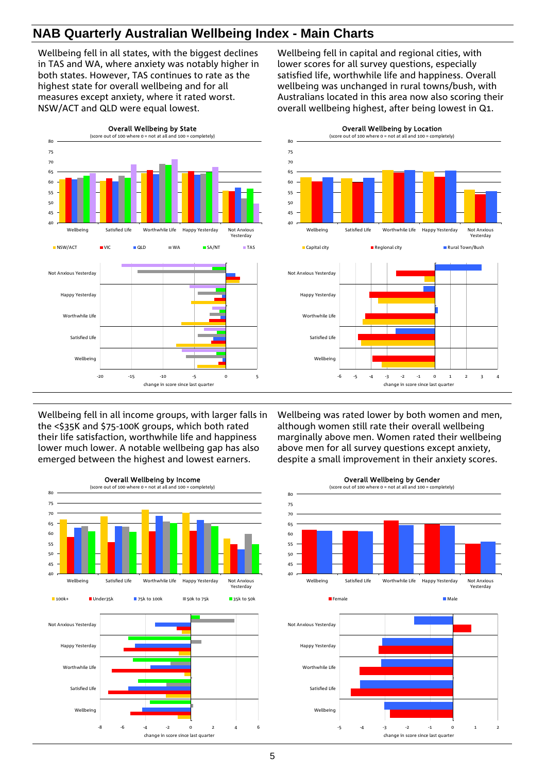# **NAB Quarterly Australian Wellbeing Index - Main Charts**

Wellbeing fell in all states, with the biggest declines in TAS and WA, where anxiety was notably higher in both states. However, TAS continues to rate as the highest state for overall wellbeing and for all measures except anxiety, where it rated worst. NSW/ACT and QLD were equal lowest.

Wellbeing fell in capital and regional cities, with lower scores for all survey questions, especially satisfied life, worthwhile life and happiness. Overall wellbeing was unchanged in rural towns/bush, with Australians located in this area now also scoring their overall wellbeing highest, after being lowest in Q1.

> Overall Wellbeing by Location (score out of 100 where  $0 = not$  at all and 100 = completed to  $(100 + 100)$



 $40$ Wellbeing Satisfied Life Worthwhile Life Happy Yesterday Not Anxious Yesterday **Capital city Regional city Rural Town/Bush** -6 -5 -4 -3 -2 -1 0 1 2 3 4 Wellbeing Satisfied Life Worthwhile Life Happy Yesterday Not Anxious Yesterday change in score since last quarter

Wellbeing fell in all income groups, with larger falls in the <\$35K and \$75-100K groups, which both rated their life satisfaction, worthwhile life and happiness lower much lower. A notable wellbeing gap has also emerged between the highest and lowest earners.



Wellbeing was rated lower by both women and men, although women still rate their overall wellbeing marginally above men. Women rated their wellbeing above men for all survey questions except anxiety, despite a small improvement in their anxiety scores.



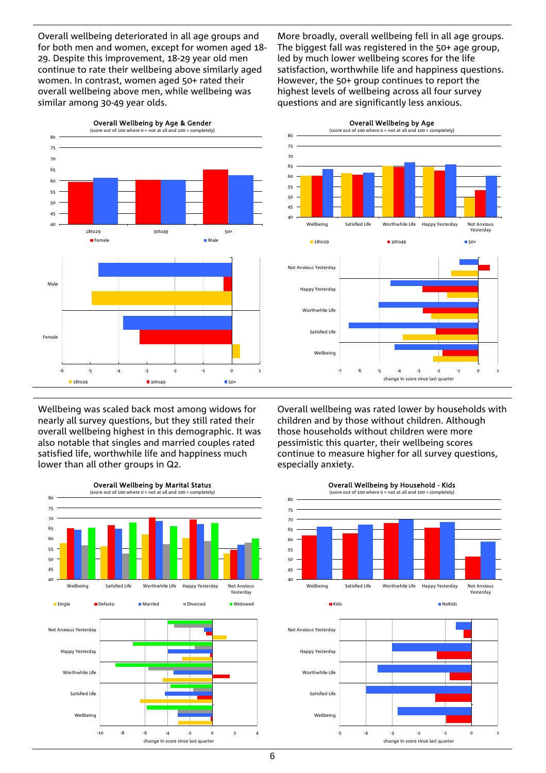Overall wellbeing deteriorated in all age groups and for both men and women, except for women aged 18- 29. Despite this improvement, 18-29 year old men continue to rate their wellbeing above similarly aged women. In contrast, women aged 50+ rated their overall wellbeing above men, while wellbeing was similar among 30-49 year olds.

More broadly, overall wellbeing fell in all age groups. The biggest fall was registered in the 50+ age group, led by much lower wellbeing scores for the life satisfaction, worthwhile life and happiness questions. However, the 50+ group continues to report the highest levels of wellbeing across all four survey questions and are significantly less anxious.



Overall Wellbeing by Age<br>
of 100 where 0 = not at all and 100 = completely)



Wellbeing was scaled back most among widows for nearly all survey questions, but they still rated their overall wellbeing highest in this demographic. It was also notable that singles and married couples rated satisfied life, worthwhile life and happiness much lower than all other groups in Q2.



Overall wellbeing was rated lower by households with children and by those without children. Although those households without children were more pessimistic this quarter, their wellbeing scores continue to measure higher for all survey questions, especially anxiety.





Overall Wellbeing by Household - Kids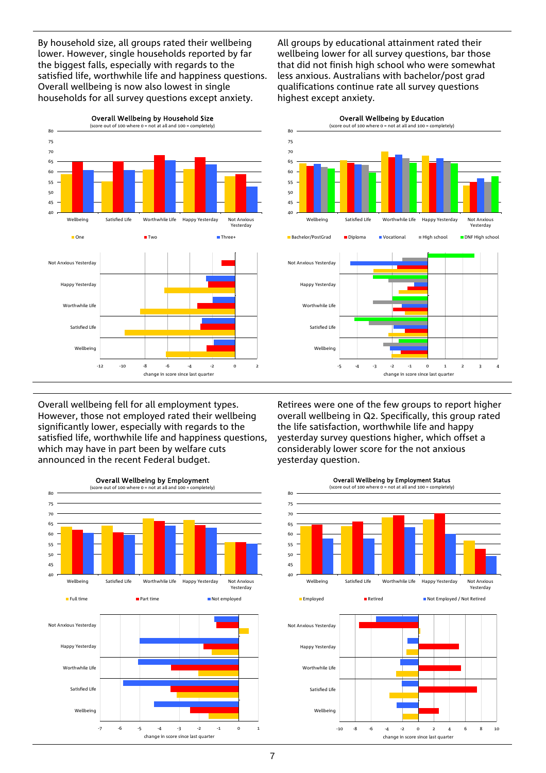By household size, all groups rated their wellbeing lower. However, single households reported by far the biggest falls, especially with regards to the satisfied life, worthwhile life and happiness questions. Overall wellbeing is now also lowest in single households for all survey questions except anxiety.

All groups by educational attainment rated their wellbeing lower for all survey questions, bar those that did not finish high school who were somewhat less anxious. Australians with bachelor/post grad qualifications continue rate all survey questions highest except anxiety.



Overall wellbeing fell for all employment types. However, those not employed rated their wellbeing significantly lower, especially with regards to the satisfied life, worthwhile life and happiness questions, which may have in part been by welfare cuts announced in the recent Federal budget.



Retirees were one of the few groups to report higher overall wellbeing in Q2. Specifically, this group rated the life satisfaction, worthwhile life and happy yesterday survey questions higher, which offset a considerably lower score for the not anxious yesterday question.

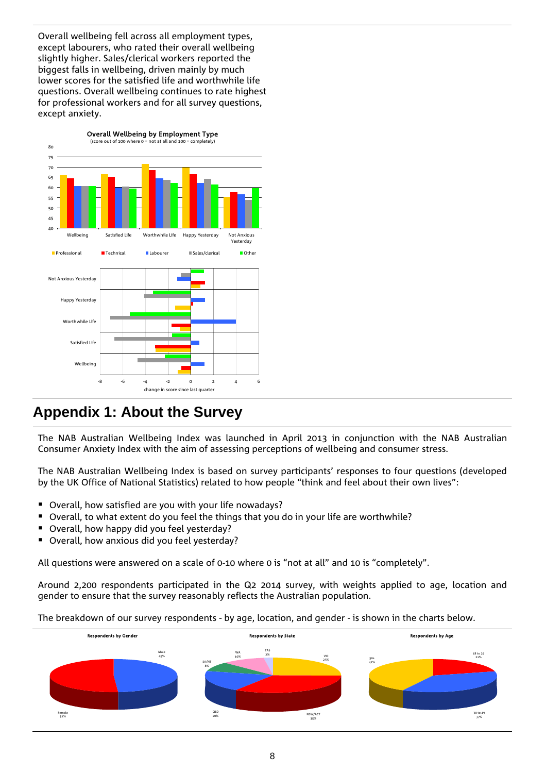Overall wellbeing fell across all employment types, except labourers, who rated their overall wellbeing slightly higher. Sales/clerical workers reported the biggest falls in wellbeing, driven mainly by much lower scores for the satisfied life and worthwhile life questions. Overall wellbeing continues to rate highest for professional workers and for all survey questions, except anxiety.



# **Appendix 1: About the Survey**

The NAB Australian Wellbeing Index was launched in April 2013 in conjunction with the NAB Australian Consumer Anxiety Index with the aim of assessing perceptions of wellbeing and consumer stress.

The NAB Australian Wellbeing Index is based on survey participants' responses to four questions (developed by the UK Office of National Statistics) related to how people "think and feel about their own lives":

- Overall, how satisfied are you with your life nowadays?
- Overall, to what extent do you feel the things that you do in your life are worthwhile?
- Overall, how happy did you feel yesterday?
- Overall, how anxious did you feel yesterday?

All questions were answered on a scale of 0-10 where 0 is "not at all" and 10 is "completely".

Around 2,200 respondents participated in the Q2 2014 survey, with weights applied to age, location and gender to ensure that the survey reasonably reflects the Australian population.

The breakdown of our survey respondents - by age, location, and gender - is shown in the charts below.